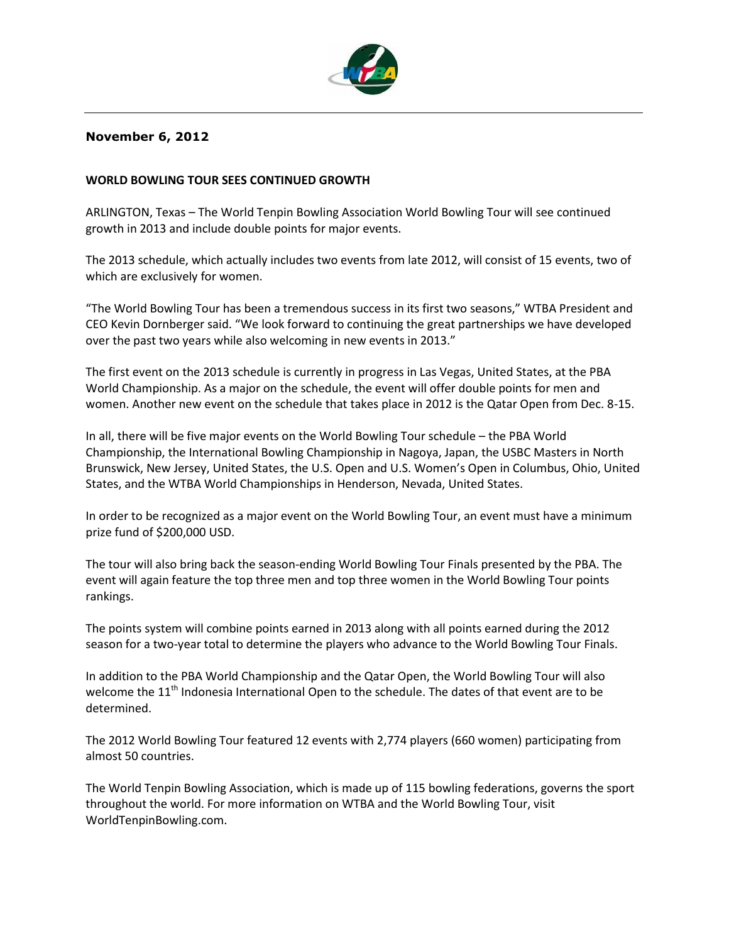

# **November 6, 2012**

# **WORLD BOWLING TOUR SEES CONTINUED GROWTH**

ARLINGTON, Texas – The World Tenpin Bowling Association World Bowling Tour will see continued growth in 2013 and include double points for major events.

The 2013 schedule, which actually includes two events from late 2012, will consist of 15 events, two of which are exclusively for women.

"The World Bowling Tour has been a tremendous success in its first two seasons," WTBA President and CEO Kevin Dornberger said. "We look forward to continuing the great partnerships we have developed over the past two years while also welcoming in new events in 2013."

The first event on the 2013 schedule is currently in progress in Las Vegas, United States, at the PBA World Championship. As a major on the schedule, the event will offer double points for men and women. Another new event on the schedule that takes place in 2012 is the Qatar Open from Dec. 8-15.

In all, there will be five major events on the World Bowling Tour schedule – the PBA World Championship, the International Bowling Championship in Nagoya, Japan, the USBC Masters in North Brunswick, New Jersey, United States, the U.S. Open and U.S. Women's Open in Columbus, Ohio, United States, and the WTBA World Championships in Henderson, Nevada, United States.

In order to be recognized as a major event on the World Bowling Tour, an event must have a minimum prize fund of \$200,000 USD.

The tour will also bring back the season-ending World Bowling Tour Finals presented by the PBA. The event will again feature the top three men and top three women in the World Bowling Tour points rankings.

The points system will combine points earned in 2013 along with all points earned during the 2012 season for a two-year total to determine the players who advance to the World Bowling Tour Finals.

In addition to the PBA World Championship and the Qatar Open, the World Bowling Tour will also welcome the 11<sup>th</sup> Indonesia International Open to the schedule. The dates of that event are to be determined.

The 2012 World Bowling Tour featured 12 events with 2,774 players (660 women) participating from almost 50 countries.

The World Tenpin Bowling Association, which is made up of 115 bowling federations, governs the sport throughout the world. For more information on WTBA and the World Bowling Tour, visit WorldTenpinBowling.com.